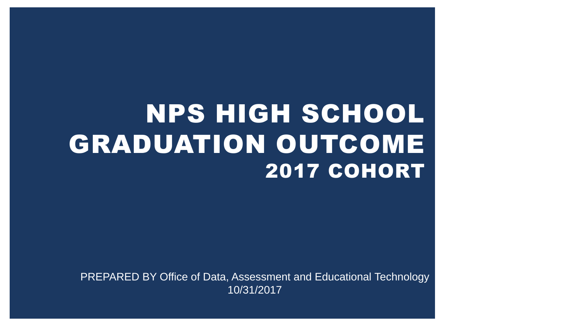# NPS HIGH SCHOOL GRADUATION OUTCOME 2017 COHORT

PREPARED BY Office of Data, Assessment and Educational Technology 10/31/2017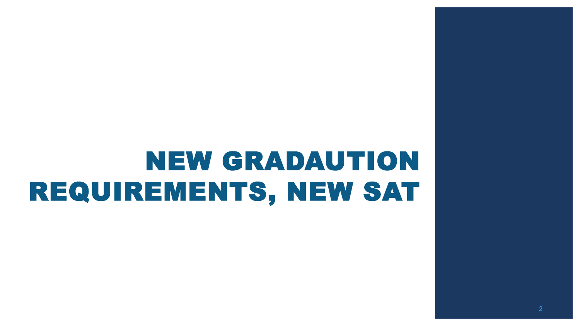# NEW GRADAUTION REQUIREMENTS, NEW SAT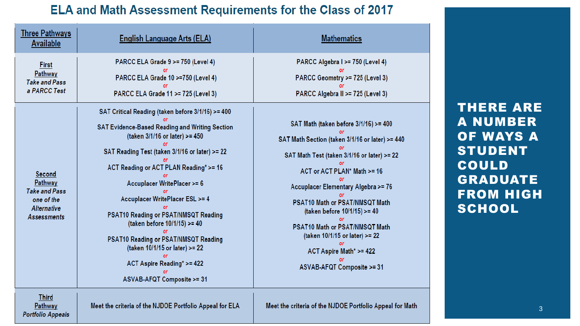#### ELA and Math Assessment Requirements for the Class of 2017

| <b>Three Pathways</b><br><b>Available</b>                                                           | English Language Arts (ELA)                                                                                                                                                                                                                                                                                                                                                                                                                                                                                                 | <b>Mathematics</b>                                                                                                                                                                                                                                                                                                                                                                                           |
|-----------------------------------------------------------------------------------------------------|-----------------------------------------------------------------------------------------------------------------------------------------------------------------------------------------------------------------------------------------------------------------------------------------------------------------------------------------------------------------------------------------------------------------------------------------------------------------------------------------------------------------------------|--------------------------------------------------------------------------------------------------------------------------------------------------------------------------------------------------------------------------------------------------------------------------------------------------------------------------------------------------------------------------------------------------------------|
| First<br>Pathway<br><b>Take and Pass</b><br>a PARCC Test                                            | PARCC ELA Grade 9 >= 750 (Level 4)<br>PARCC ELA Grade 10 >=750 (Level 4)<br>PARCC ELA Grade 11 >= 725 (Level 3)                                                                                                                                                                                                                                                                                                                                                                                                             | PARCC Algebra I >= 750 (Level 4)<br>PARCC Geometry >= 725 (Level 3)<br>PARCC Algebra II >= 725 (Level 3)                                                                                                                                                                                                                                                                                                     |
| Second<br>Pathway<br><b>Take and Pass</b><br>one of the<br><b>Alternative</b><br><b>Assessments</b> | SAT Critical Reading (taken before 3/1/16) >= 400<br>SAT Evidence-Based Reading and Writing Section<br>(taken 3/1/16 or later) >= 450<br>SAT Reading Test (taken 3/1/16 or later) >= 22<br>ACT Reading or ACT PLAN Reading* >= 16<br>Accuplacer WritePlacer >= 6<br>Accuplacer WritePlacer ESL >= 4<br>PSAT10 Reading or PSAT/NMSQT Reading<br>(taken before 10/1/15) >= 40<br>PSAT10 Reading or PSAT/NMSQT Reading<br>(taken 10/1/15 or later) >= 22<br>ACT Aspire Reading* >= 422<br><b>ASVAB-AFQT Composite &gt;= 31</b> | SAT Math (taken before 3/1/16) >= 400<br>SAT Math Section (taken 3/1/16 or later) >= 440<br>SAT Math Test (taken 3/1/16 or later) >= 22<br>ACT or ACT PLAN* Math >= 16<br>Accuplacer Elementary Algebra >= 76<br>PSAT10 Math or PSAT/NMSQT Math<br>(taken before 10/1/15) >= 40<br>PSAT10 Math or PSAT/NMSQT Math<br>(taken 10/1/15 or later) >= 22<br>ACT Aspire Math* >= 422<br>ASVAB-AFQT Composite >= 31 |
| Third<br>Pathway                                                                                    | Meet the criteria of the NJDOE Portfolio Appeal for ELA                                                                                                                                                                                                                                                                                                                                                                                                                                                                     | Meet the criteria of the NJDOE Portfolio Appeal for Math                                                                                                                                                                                                                                                                                                                                                     |

**Portfolio Appeals** 

THERE ARE A NUMBER OF WAYS A STUDENT COULD GRADUATE FROM HIGH **SCHOOL** 

3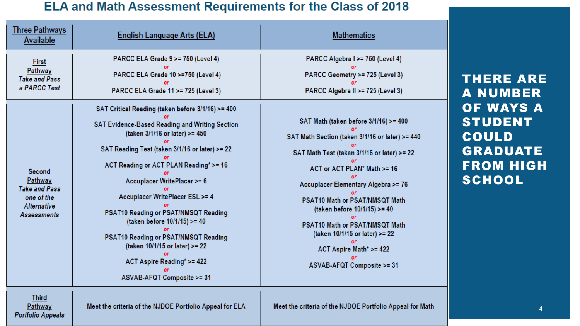#### **ELA and Math Assessment Requirements for the Class of 2018**

| <u>Three Pathways</u><br><b>Available</b>                                                           | <b>English Language Arts (ELA)</b>                                                                                                                                                                                                                                                                                                                                                                                                                                     | <b>Mathematics</b>                                                                                                                                                                                                                                                                                                                                                                                                     |
|-----------------------------------------------------------------------------------------------------|------------------------------------------------------------------------------------------------------------------------------------------------------------------------------------------------------------------------------------------------------------------------------------------------------------------------------------------------------------------------------------------------------------------------------------------------------------------------|------------------------------------------------------------------------------------------------------------------------------------------------------------------------------------------------------------------------------------------------------------------------------------------------------------------------------------------------------------------------------------------------------------------------|
| <b>First</b><br>Pathway<br><b>Take and Pass</b><br>a PARCC Test                                     | PARCC ELA Grade 9 >= 750 (Level 4)<br>PARCC ELA Grade 10 >=750 (Level 4)<br>PARCC ELA Grade 11 >= 725 (Level 3)<br>SAT Critical Reading (taken before 3/1/16) >= 400                                                                                                                                                                                                                                                                                                   | PARCC Algebra I >= 750 (Level 4)<br>PARCC Geometry >= 725 (Level 3)<br>PARCC Algebra II >= 725 (Level 3)                                                                                                                                                                                                                                                                                                               |
| Second<br>Pathway<br><b>Take and Pass</b><br>one of the<br><b>Alternative</b><br><b>Assessments</b> | SAT Evidence-Based Reading and Writing Section<br>(taken 3/1/16 or later) >= 450<br>SAT Reading Test (taken 3/1/16 or later) >= 22<br>ACT Reading or ACT PLAN Reading* >= 16<br>Accuplacer WritePlacer >= 6<br>Accuplacer WritePlacer ESL >= 4<br>PSAT10 Reading or PSAT/NMSQT Reading<br>(taken before 10/1/15) >= 40<br>PSAT10 Reading or PSAT/NMSQT Reading<br>(taken 10/1/15 or later) >= 22<br>ACT Aspire Reading* >= 422<br><b>ASVAB-AFQT Composite &gt;= 31</b> | SAT Math (taken before 3/1/16) >= 400<br>SAT Math Section (taken 3/1/16 or later) >= 440<br>SAT Math Test (taken 3/1/16 or later) >= 22<br>ACT or ACT PLAN* Math >= 16<br>Accuplacer Elementary Algebra >= 76<br>PSAT10 Math or PSAT/NMSQT Math<br>(taken before 10/1/15) >= 40<br>PSAT10 Math or PSAT/NMSQT Math<br>(taken 10/1/15 or later) >= 22<br>ACT Aspire Math* >= 422<br><b>ASVAB-AFQT Composite &gt;= 31</b> |
| <b>The County</b>                                                                                   |                                                                                                                                                                                                                                                                                                                                                                                                                                                                        |                                                                                                                                                                                                                                                                                                                                                                                                                        |

THERE ARE A NUMBER OF WAYS A STUDENT COULD GRADUATE FROM HIGH **SCHOOL** 

**Third** Pathway **Portfolio Appeals** 

Meet the criteria of the NJDOE Portfolio Appeal for ELA

Meet the criteria of the NJDOE Portfolio Appeal for Math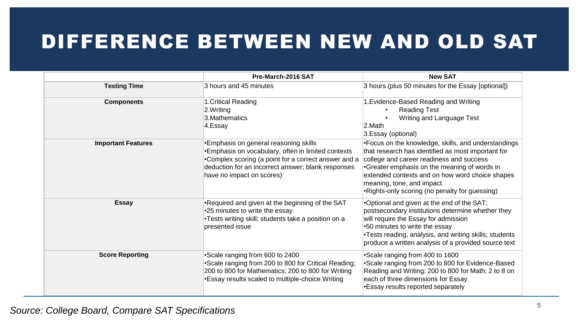# DIFFERENCE BETWEEN NEW AND OLD SAT

|                           | Pre-March-2016 SAT                                                                                                                                                                                                                     | <b>New SAT</b>                                                                                                                                                                                                                                                                                                                          |  |
|---------------------------|----------------------------------------------------------------------------------------------------------------------------------------------------------------------------------------------------------------------------------------|-----------------------------------------------------------------------------------------------------------------------------------------------------------------------------------------------------------------------------------------------------------------------------------------------------------------------------------------|--|
| <b>Testing Time</b>       | 3 hours and 45 minutes                                                                                                                                                                                                                 | 3 hours (plus 50 minutes for the Essay [optional])                                                                                                                                                                                                                                                                                      |  |
| <b>Components</b>         | 1. Critical Reading<br>2.Writing<br>3. Mathematics<br>4.Essay                                                                                                                                                                          | 1. Evidence-Based Reading and Writing<br><b>Reading Test</b><br>$\bullet$<br>Writing and Language Test<br>$ 2$ . Math<br>3.Essay (optional)                                                                                                                                                                                             |  |
| <b>Important Features</b> | •Emphasis on general reasoning skills<br>•Emphasis on vocabulary, often in limited contexts<br>•Complex scoring (a point for a correct answer and a<br>deduction for an incorrect answer; blank responses<br>have no impact on scores) | •Focus on the knowledge, skills, and understandings<br>that research has identified as most important for<br>college and career readiness and success<br>•Greater emphasis on the meaning of words in<br>extended contexts and on how word choice shapes<br>meaning, tone, and impact<br>•Rights-only scoring (no penalty for guessing) |  |
| <b>Essay</b>              | •Required and given at the beginning of the SAT<br>•25 minutes to write the essay<br>•Tests writing skill; students take a position on a<br>presented issue                                                                            | .Optional and given at the end of the SAT;<br>postsecondary institutions determine whether they<br>will require the Essay for admission<br>.50 minutes to write the essay<br>.Tests reading, analysis, and writing skills; students<br>produce a written analysis of a provided source text                                             |  |
| <b>Score Reporting</b>    | Scale ranging from 600 to 2400<br>•Scale ranging from 200 to 800 for Critical Reading;<br>200 to 800 for Mathematics; 200 to 800 for Writing<br>•Essay results scaled to multiple-choice Writing                                       | •Scale ranging from 400 to 1600<br>*Scale ranging from 200 to 800 for Evidence-Based<br>Reading and Writing; 200 to 800 for Math; 2 to 8 on<br>each of three dimensions for Essay<br>•Essay results reported separately                                                                                                                 |  |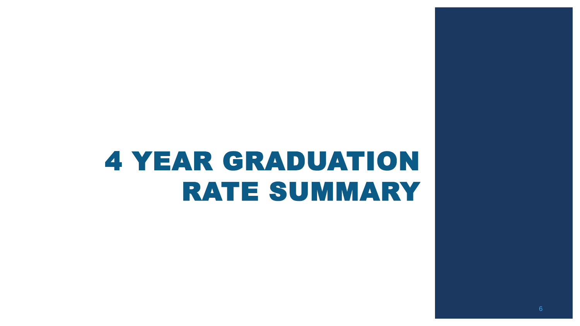# 4 YEAR GRADUATION RATE SUMMARY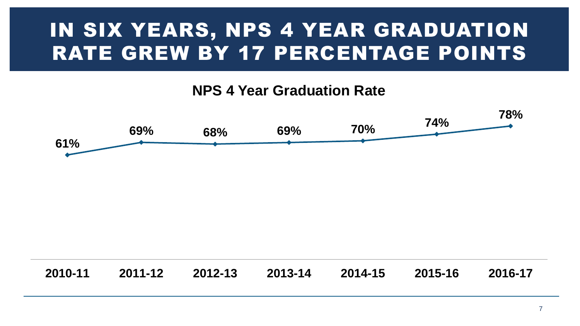# IN SIX YEARS, NPS 4 YEAR GRADUATION RATE GREW BY 17 PERCENTAGE POINTS

#### **NPS 4 Year Graduation Rate**



| 2010-11 | 2011-12   2012-13   2013-14 |  |  | 2014-15   2015-16 |  | 2016-17 |
|---------|-----------------------------|--|--|-------------------|--|---------|
|---------|-----------------------------|--|--|-------------------|--|---------|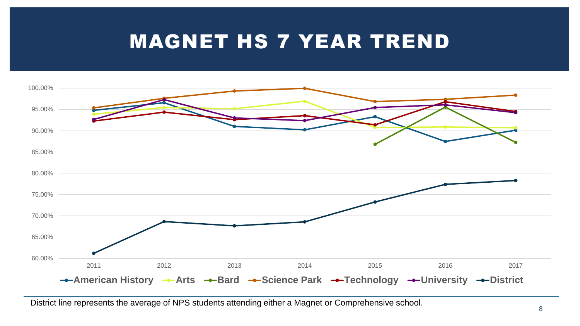### MAGNET HS 7 YEAR TREND



District line represents the average of NPS students attending either a Magnet or Comprehensive school.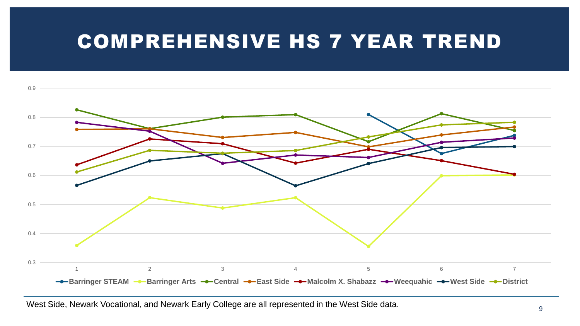### COMPREHENSIVE HS 7 YEAR TREND



West Side, Newark Vocational, and Newark Early College are all represented in the West Side data.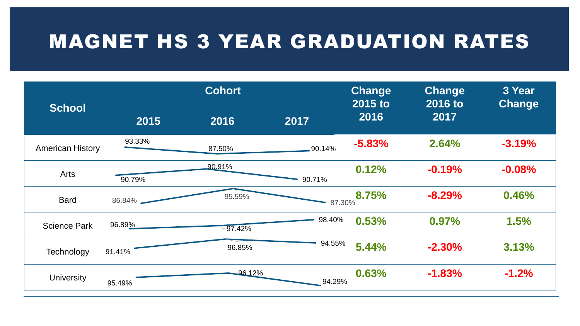### MAGNET HS 3 YEAR GRADUATION RATES

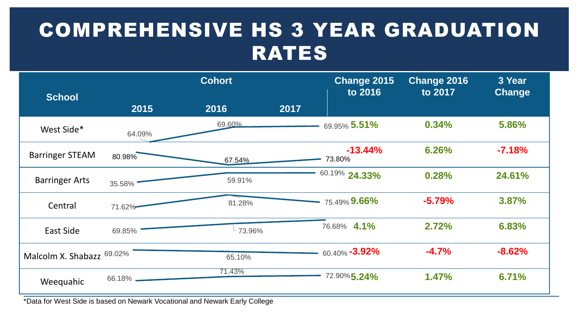# COMPREHENSIVE HS 3 YEAR GRADUATION RATES



\*Data for West Side is based on Newark Vocational and Newark Early College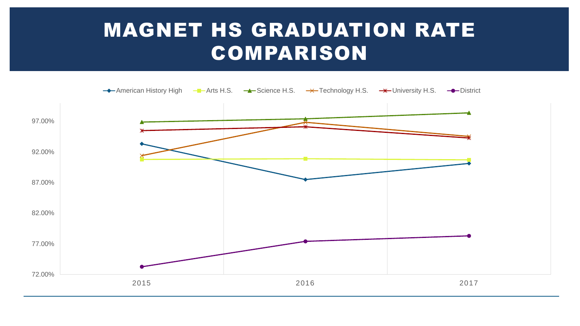## MAGNET HS GRADUATION RATE COMPARISON

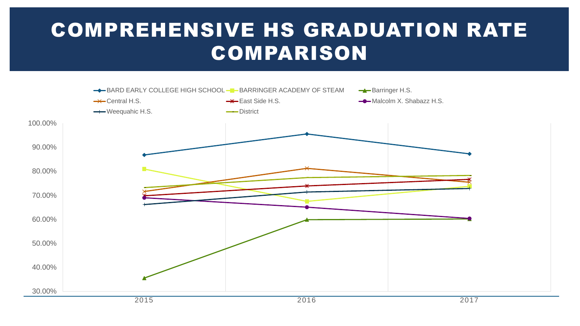# COMPREHENSIVE HS GRADUATION RATE COMPARISON

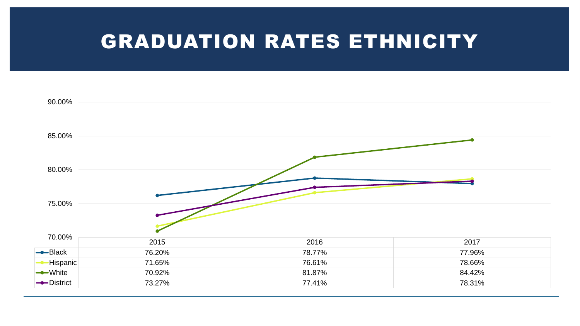### GRADUATION RATES ETHNICITY

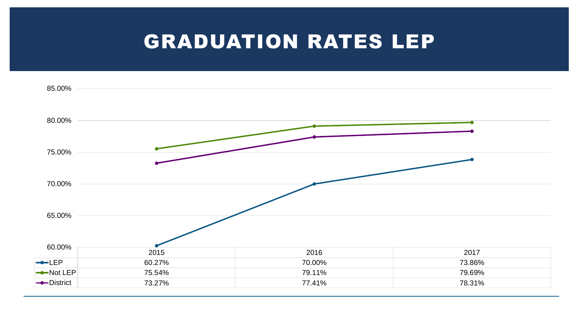#### GRADUATION RATES LEP

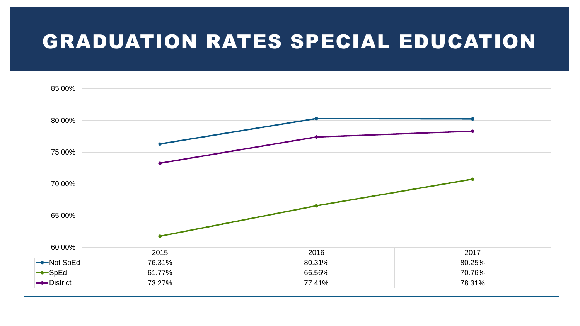### GRADUATION RATES SPECIAL EDUCATION

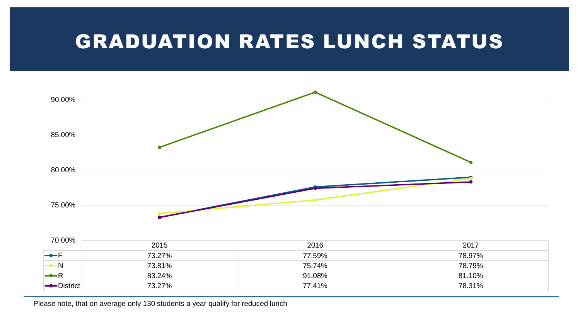### GRADUATION RATES LUNCH STATUS



| 70.00%          |        |        |        |  |
|-----------------|--------|--------|--------|--|
|                 | 2015   | 2016   | 2017   |  |
| $\rightarrow$ F | 73.27% | 77.59% | 78.97% |  |
| $-N$            | 73.81% | 75.74% | 78.79% |  |
| $\rightarrow R$ | 83.24% | 91.08% | 81.10% |  |
| -District       | 73.27% | 77.41% | 78.31% |  |

Please note, that on average only 130 students a year qualify for reduced lunch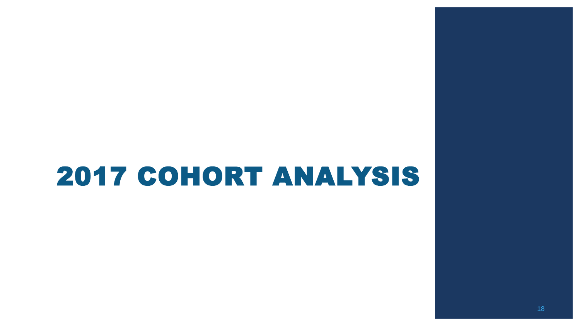# 2017 COHORT ANALYSIS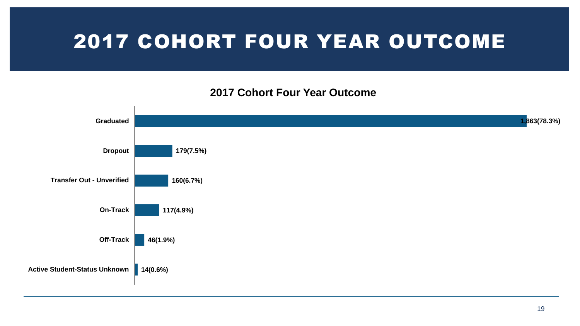## 2017 COHORT FOUR YEAR OUTCOME

#### **2017 Cohort Four Year Outcome**

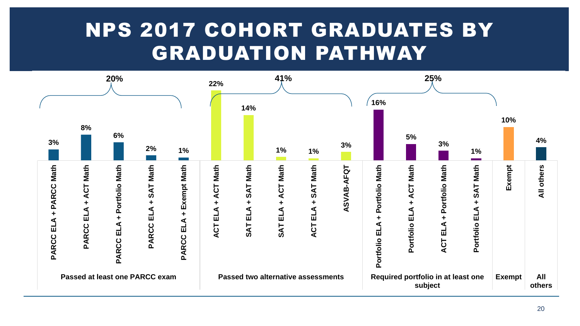## NPS 2017 COHORT GRADUATES BY GRADUATION PATHWAY

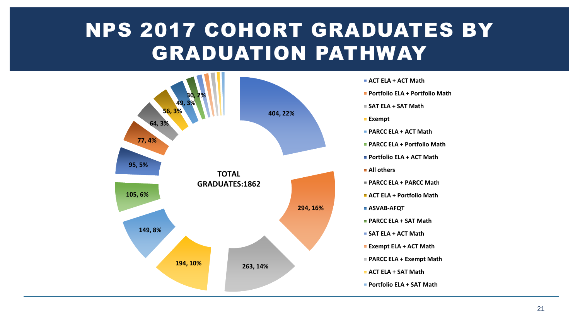# NPS 2017 COHORT GRADUATES BY GRADUATION PATHWAY



- **ACT ELA + ACT Math**
- **Portfolio ELA + Portfolio Math**
- **SAT ELA + SAT Math**
- **Exempt**
- **PARCC ELA + ACT Math**
- **PARCC ELA + Portfolio Math**
- **Portfolio ELA + ACT Math**
- **All others**
- **PARCC ELA + PARCC Math**
- **ACT ELA + Portfolio Math**
- **ASVAB-AFQT**
- **PARCC ELA + SAT Math**
- **SAT ELA + ACT Math**
- **Exempt ELA + ACT Math**
- **PARCC ELA + Exempt Math**
- **ACT ELA + SAT Math**
- **Portfolio ELA + SAT Math**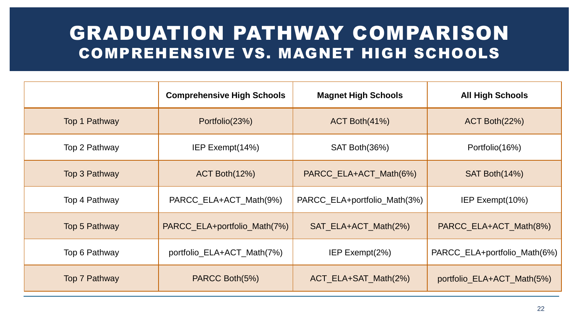#### GRADUATION PATHWAY COMPARISON COMPREHENSIVE VS. MAGNET HIGH SCHOOLS

|                      | <b>Comprehensive High Schools</b> | <b>Magnet High Schools</b>   | <b>All High Schools</b>      |
|----------------------|-----------------------------------|------------------------------|------------------------------|
| Top 1 Pathway        | Portfolio(23%)                    | $ACT$ Both $(41%)$           | $ACT$ Both $(22%)$           |
| Top 2 Pathway        | IEP Exempt(14%)                   | SAT Both(36%)                | Portfolio (16%)              |
| Top 3 Pathway        | ACT Both(12%)                     | PARCC_ELA+ACT_Math(6%)       | SAT Both(14%)                |
| Top 4 Pathway        | PARCC_ELA+ACT_Math(9%)            | PARCC_ELA+portfolio_Math(3%) | IEP Exempt(10%)              |
| Top 5 Pathway        | PARCC_ELA+portfolio_Math(7%)      | SAT_ELA+ACT_Math(2%)         | PARCC_ELA+ACT_Math(8%)       |
| Top 6 Pathway        | portfolio_ELA+ACT_Math(7%)        | IEP Exempt $(2%)$            | PARCC_ELA+portfolio_Math(6%) |
| <b>Top 7 Pathway</b> | PARCC Both(5%)                    | ACT_ELA+SAT_Math(2%)         | portfolio_ELA+ACT_Math(5%)   |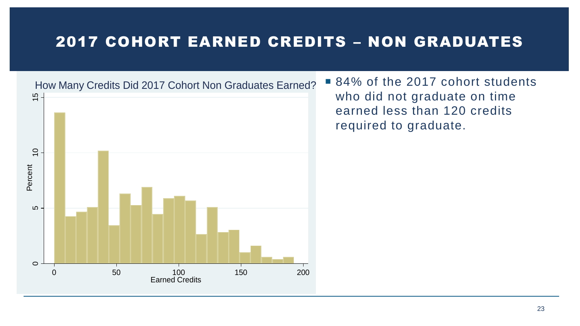#### 2017 COHORT EARNED CREDITS – NON GRADUATES



■ 84% of the 2017 cohort students who did not graduate on time earned less than 120 credits required to graduate.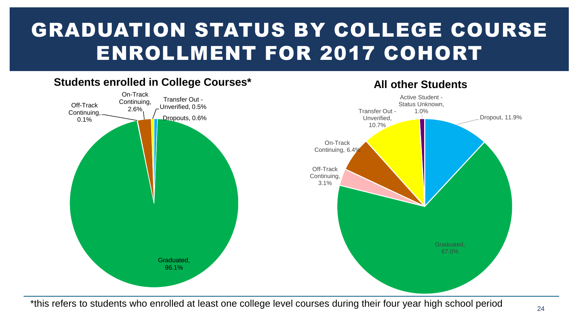# GRADUATION STATUS BY COLLEGE COURSE ENROLLMENT FOR 2017 COHORT



#### \*this refers to students who enrolled at least one college level courses during their four year high school period

#### 24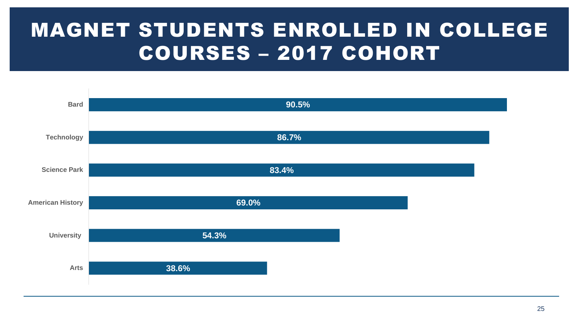# MAGNET STUDENTS ENROLLED IN COLLEGE COURSES – 2017 COHORT